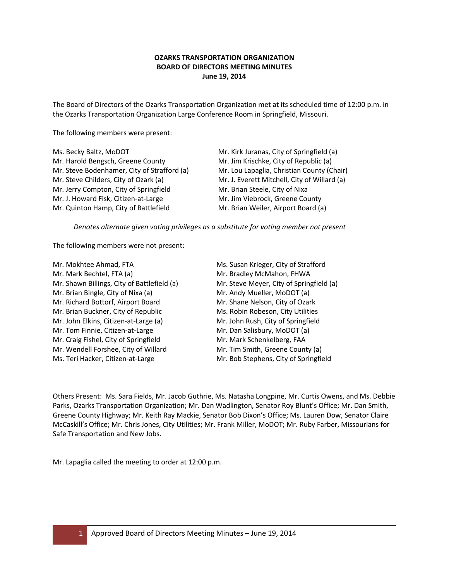# **OZARKS TRANSPORTATION ORGANIZATION BOARD OF DIRECTORS MEETING MINUTES June 19, 2014**

The Board of Directors of the Ozarks Transportation Organization met at its scheduled time of 12:00 p.m. in the Ozarks Transportation Organization Large Conference Room in Springfield, Missouri.

The following members were present:

| Ms. Becky Baltz, MoDOT                      | Mr. Kirk Juranas, City of Springfield (a)    |
|---------------------------------------------|----------------------------------------------|
| Mr. Harold Bengsch, Greene County           | Mr. Jim Krischke, City of Republic (a)       |
| Mr. Steve Bodenhamer, City of Strafford (a) | Mr. Lou Lapaglia, Christian County (Chair)   |
| Mr. Steve Childers, City of Ozark (a)       | Mr. J. Everett Mitchell, City of Willard (a) |
| Mr. Jerry Compton, City of Springfield      | Mr. Brian Steele, City of Nixa               |
| Mr. J. Howard Fisk, Citizen-at-Large        | Mr. Jim Viebrock, Greene County              |
| Mr. Quinton Hamp, City of Battlefield       | Mr. Brian Weiler, Airport Board (a)          |

*Denotes alternate given voting privileges as a substitute for voting member not present*

The following members were not present:

| Mr. Mokhtee Ahmad, FTA                      | Ms. Susan Krieger, City of Strafford     |
|---------------------------------------------|------------------------------------------|
| Mr. Mark Bechtel, FTA (a)                   | Mr. Bradley McMahon, FHWA                |
| Mr. Shawn Billings, City of Battlefield (a) | Mr. Steve Meyer, City of Springfield (a) |
| Mr. Brian Bingle, City of Nixa (a)          | Mr. Andy Mueller, MoDOT (a)              |
| Mr. Richard Bottorf, Airport Board          | Mr. Shane Nelson, City of Ozark          |
| Mr. Brian Buckner, City of Republic         | Ms. Robin Robeson, City Utilities        |
| Mr. John Elkins, Citizen-at-Large (a)       | Mr. John Rush, City of Springfield       |
| Mr. Tom Finnie, Citizen-at-Large            | Mr. Dan Salisbury, MoDOT (a)             |
| Mr. Craig Fishel, City of Springfield       | Mr. Mark Schenkelberg, FAA               |
| Mr. Wendell Forshee, City of Willard        | Mr. Tim Smith, Greene County (a)         |
| Ms. Teri Hacker, Citizen-at-Large           | Mr. Bob Stephens, City of Springfield    |

Others Present: Ms. Sara Fields, Mr. Jacob Guthrie, Ms. Natasha Longpine, Mr. Curtis Owens, and Ms. Debbie Parks, Ozarks Transportation Organization; Mr. Dan Wadlington, Senator Roy Blunt's Office; Mr. Dan Smith, Greene County Highway; Mr. Keith Ray Mackie, Senator Bob Dixon's Office; Ms. Lauren Dow, Senator Claire McCaskill's Office; Mr. Chris Jones, City Utilities; Mr. Frank Miller, MoDOT; Mr. Ruby Farber, Missourians for Safe Transportation and New Jobs.

Mr. Lapaglia called the meeting to order at 12:00 p.m.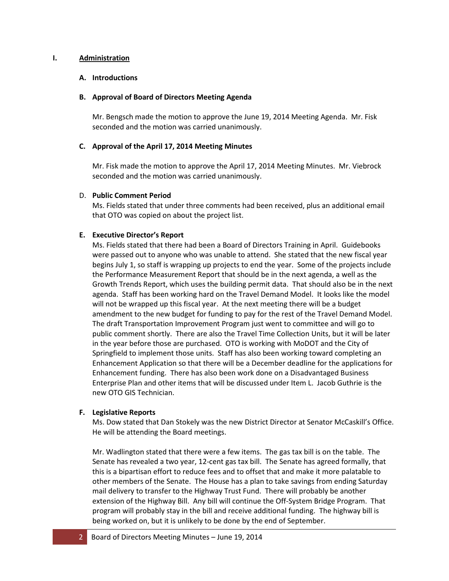## **I. Administration**

### **A. Introductions**

### **B. Approval of Board of Directors Meeting Agenda**

Mr. Bengsch made the motion to approve the June 19, 2014 Meeting Agenda. Mr. Fisk seconded and the motion was carried unanimously.

### **C. Approval of the April 17, 2014 Meeting Minutes**

Mr. Fisk made the motion to approve the April 17, 2014 Meeting Minutes. Mr. Viebrock seconded and the motion was carried unanimously.

### D. **Public Comment Period**

Ms. Fields stated that under three comments had been received, plus an additional email that OTO was copied on about the project list.

# **E. Executive Director's Report**

Ms. Fields stated that there had been a Board of Directors Training in April. Guidebooks were passed out to anyone who was unable to attend. She stated that the new fiscal year begins July 1, so staff is wrapping up projects to end the year. Some of the projects include the Performance Measurement Report that should be in the next agenda, a well as the Growth Trends Report, which uses the building permit data. That should also be in the next agenda. Staff has been working hard on the Travel Demand Model. It looks like the model will not be wrapped up this fiscal year. At the next meeting there will be a budget amendment to the new budget for funding to pay for the rest of the Travel Demand Model. The draft Transportation Improvement Program just went to committee and will go to public comment shortly. There are also the Travel Time Collection Units, but it will be later in the year before those are purchased. OTO is working with MoDOT and the City of Springfield to implement those units. Staff has also been working toward completing an Enhancement Application so that there will be a December deadline for the applications for Enhancement funding. There has also been work done on a Disadvantaged Business Enterprise Plan and other items that will be discussed under Item L. Jacob Guthrie is the new OTO GIS Technician.

# **F. Legislative Reports**

Ms. Dow stated that Dan Stokely was the new District Director at Senator McCaskill's Office. He will be attending the Board meetings.

Mr. Wadlington stated that there were a few items. The gas tax bill is on the table. The Senate has revealed a two year, 12-cent gas tax bill. The Senate has agreed formally, that this is a bipartisan effort to reduce fees and to offset that and make it more palatable to other members of the Senate. The House has a plan to take savings from ending Saturday mail delivery to transfer to the Highway Trust Fund. There will probably be another extension of the Highway Bill. Any bill will continue the Off-System Bridge Program. That program will probably stay in the bill and receive additional funding. The highway bill is being worked on, but it is unlikely to be done by the end of September.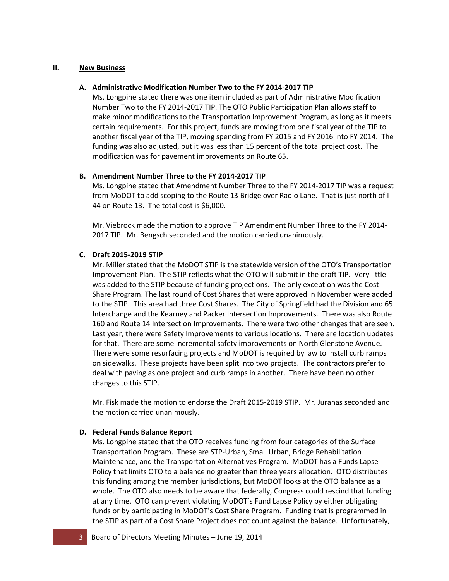### **II. New Business**

### **A. Administrative Modification Number Two to the FY 2014-2017 TIP**

Ms. Longpine stated there was one item included as part of Administrative Modification Number Two to the FY 2014-2017 TIP. The OTO Public Participation Plan allows staff to make minor modifications to the Transportation Improvement Program, as long as it meets certain requirements. For this project, funds are moving from one fiscal year of the TIP to another fiscal year of the TIP, moving spending from FY 2015 and FY 2016 into FY 2014. The funding was also adjusted, but it was less than 15 percent of the total project cost. The modification was for pavement improvements on Route 65.

# **B. Amendment Number Three to the FY 2014-2017 TIP**

Ms. Longpine stated that Amendment Number Three to the FY 2014-2017 TIP was a request from MoDOT to add scoping to the Route 13 Bridge over Radio Lane. That is just north of I-44 on Route 13. The total cost is \$6,000.

Mr. Viebrock made the motion to approve TIP Amendment Number Three to the FY 2014- 2017 TIP. Mr. Bengsch seconded and the motion carried unanimously.

# **C. Draft 2015-2019 STIP**

Mr. Miller stated that the MoDOT STIP is the statewide version of the OTO's Transportation Improvement Plan. The STIP reflects what the OTO will submit in the draft TIP. Very little was added to the STIP because of funding projections. The only exception was the Cost Share Program. The last round of Cost Shares that were approved in November were added to the STIP. This area had three Cost Shares. The City of Springfield had the Division and 65 Interchange and the Kearney and Packer Intersection Improvements. There was also Route 160 and Route 14 Intersection Improvements. There were two other changes that are seen. Last year, there were Safety Improvements to various locations. There are location updates for that. There are some incremental safety improvements on North Glenstone Avenue. There were some resurfacing projects and MoDOT is required by law to install curb ramps on sidewalks. These projects have been split into two projects. The contractors prefer to deal with paving as one project and curb ramps in another. There have been no other changes to this STIP.

Mr. Fisk made the motion to endorse the Draft 2015-2019 STIP. Mr. Juranas seconded and the motion carried unanimously.

### **D. Federal Funds Balance Report**

Ms. Longpine stated that the OTO receives funding from four categories of the Surface Transportation Program. These are STP-Urban, Small Urban, Bridge Rehabilitation Maintenance, and the Transportation Alternatives Program. MoDOT has a Funds Lapse Policy that limits OTO to a balance no greater than three years allocation. OTO distributes this funding among the member jurisdictions, but MoDOT looks at the OTO balance as a whole. The OTO also needs to be aware that federally, Congress could rescind that funding at any time. OTO can prevent violating MoDOT's Fund Lapse Policy by either obligating funds or by participating in MoDOT's Cost Share Program. Funding that is programmed in the STIP as part of a Cost Share Project does not count against the balance. Unfortunately,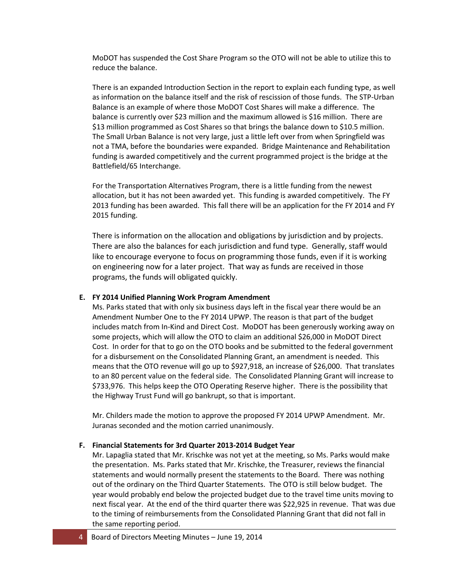MoDOT has suspended the Cost Share Program so the OTO will not be able to utilize this to reduce the balance.

There is an expanded Introduction Section in the report to explain each funding type, as well as information on the balance itself and the risk of rescission of those funds. The STP-Urban Balance is an example of where those MoDOT Cost Shares will make a difference. The balance is currently over \$23 million and the maximum allowed is \$16 million. There are \$13 million programmed as Cost Shares so that brings the balance down to \$10.5 million. The Small Urban Balance is not very large, just a little left over from when Springfield was not a TMA, before the boundaries were expanded. Bridge Maintenance and Rehabilitation funding is awarded competitively and the current programmed project is the bridge at the Battlefield/65 Interchange.

For the Transportation Alternatives Program, there is a little funding from the newest allocation, but it has not been awarded yet. This funding is awarded competitively. The FY 2013 funding has been awarded. This fall there will be an application for the FY 2014 and FY 2015 funding.

There is information on the allocation and obligations by jurisdiction and by projects. There are also the balances for each jurisdiction and fund type. Generally, staff would like to encourage everyone to focus on programming those funds, even if it is working on engineering now for a later project. That way as funds are received in those programs, the funds will obligated quickly.

# **E. FY 2014 Unified Planning Work Program Amendment**

Ms. Parks stated that with only six business days left in the fiscal year there would be an Amendment Number One to the FY 2014 UPWP. The reason is that part of the budget includes match from In-Kind and Direct Cost. MoDOT has been generously working away on some projects, which will allow the OTO to claim an additional \$26,000 in MoDOT Direct Cost. In order for that to go on the OTO books and be submitted to the federal government for a disbursement on the Consolidated Planning Grant, an amendment is needed. This means that the OTO revenue will go up to \$927,918, an increase of \$26,000. That translates to an 80 percent value on the federal side. The Consolidated Planning Grant will increase to \$733,976. This helps keep the OTO Operating Reserve higher. There is the possibility that the Highway Trust Fund will go bankrupt, so that is important.

Mr. Childers made the motion to approve the proposed FY 2014 UPWP Amendment. Mr. Juranas seconded and the motion carried unanimously.

#### **F. Financial Statements for 3rd Quarter 2013-2014 Budget Year**

Mr. Lapaglia stated that Mr. Krischke was not yet at the meeting, so Ms. Parks would make the presentation. Ms. Parks stated that Mr. Krischke, the Treasurer, reviews the financial statements and would normally present the statements to the Board. There was nothing out of the ordinary on the Third Quarter Statements. The OTO is still below budget. The year would probably end below the projected budget due to the travel time units moving to next fiscal year. At the end of the third quarter there was \$22,925 in revenue. That was due to the timing of reimbursements from the Consolidated Planning Grant that did not fall in the same reporting period.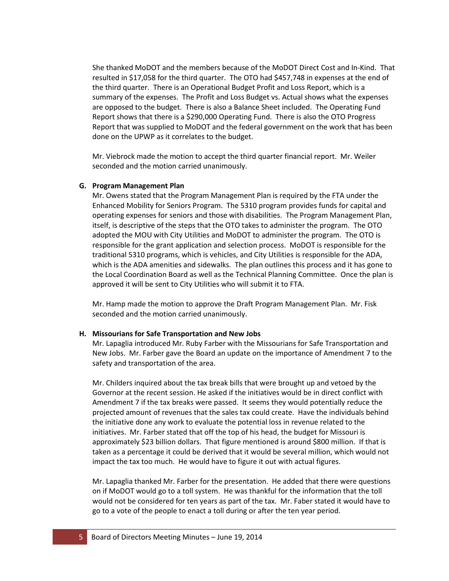She thanked MoDOT and the members because of the MoDOT Direct Cost and In-Kind. That resulted in \$17,058 for the third quarter. The OTO had \$457,748 in expenses at the end of the third quarter. There is an Operational Budget Profit and Loss Report, which is a summary of the expenses. The Profit and Loss Budget vs. Actual shows what the expenses are opposed to the budget. There is also a Balance Sheet included. The Operating Fund Report shows that there is a \$290,000 Operating Fund. There is also the OTO Progress Report that was supplied to MoDOT and the federal government on the work that has been done on the UPWP as it correlates to the budget.

Mr. Viebrock made the motion to accept the third quarter financial report. Mr. Weiler seconded and the motion carried unanimously.

### **G. Program Management Plan**

Mr. Owens stated that the Program Management Plan is required by the FTA under the Enhanced Mobility for Seniors Program. The 5310 program provides funds for capital and operating expenses for seniors and those with disabilities. The Program Management Plan, itself, is descriptive of the steps that the OTO takes to administer the program. The OTO adopted the MOU with City Utilities and MoDOT to administer the program. The OTO is responsible for the grant application and selection process. MoDOT is responsible for the traditional 5310 programs, which is vehicles, and City Utilities is responsible for the ADA, which is the ADA amenities and sidewalks. The plan outlines this process and it has gone to the Local Coordination Board as well as the Technical Planning Committee. Once the plan is approved it will be sent to City Utilities who will submit it to FTA.

Mr. Hamp made the motion to approve the Draft Program Management Plan. Mr. Fisk seconded and the motion carried unanimously.

# **H. Missourians for Safe Transportation and New Jobs**

Mr. Lapaglia introduced Mr. Ruby Farber with the Missourians for Safe Transportation and New Jobs. Mr. Farber gave the Board an update on the importance of Amendment 7 to the safety and transportation of the area.

Mr. Childers inquired about the tax break bills that were brought up and vetoed by the Governor at the recent session. He asked if the initiatives would be in direct conflict with Amendment 7 if the tax breaks were passed. It seems they would potentially reduce the projected amount of revenues that the sales tax could create. Have the individuals behind the initiative done any work to evaluate the potential loss in revenue related to the initiatives. Mr. Farber stated that off the top of his head, the budget for Missouri is approximately \$23 billion dollars. That figure mentioned is around \$800 million. If that is taken as a percentage it could be derived that it would be several million, which would not impact the tax too much. He would have to figure it out with actual figures.

Mr. Lapaglia thanked Mr. Farber for the presentation. He added that there were questions on if MoDOT would go to a toll system. He was thankful for the information that the toll would not be considered for ten years as part of the tax. Mr. Faber stated it would have to go to a vote of the people to enact a toll during or after the ten year period.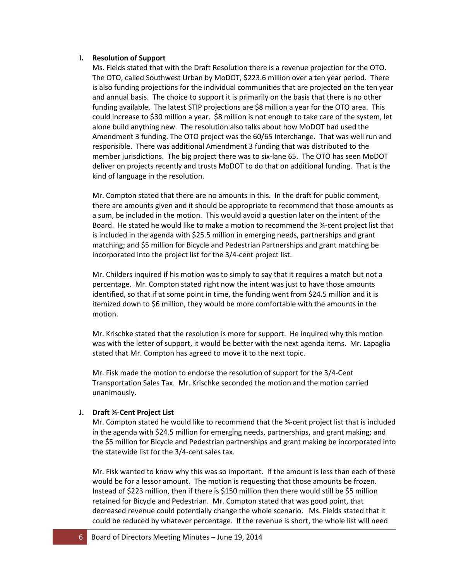### **I. Resolution of Support**

Ms. Fields stated that with the Draft Resolution there is a revenue projection for the OTO. The OTO, called Southwest Urban by MoDOT, \$223.6 million over a ten year period. There is also funding projections for the individual communities that are projected on the ten year and annual basis. The choice to support it is primarily on the basis that there is no other funding available. The latest STIP projections are \$8 million a year for the OTO area. This could increase to \$30 million a year. \$8 million is not enough to take care of the system, let alone build anything new. The resolution also talks about how MoDOT had used the Amendment 3 funding. The OTO project was the 60/65 Interchange. That was well run and responsible. There was additional Amendment 3 funding that was distributed to the member jurisdictions. The big project there was to six-lane 65. The OTO has seen MoDOT deliver on projects recently and trusts MoDOT to do that on additional funding. That is the kind of language in the resolution.

Mr. Compton stated that there are no amounts in this. In the draft for public comment, there are amounts given and it should be appropriate to recommend that those amounts as a sum, be included in the motion. This would avoid a question later on the intent of the Board. He stated he would like to make a motion to recommend the ¾-cent project list that is included in the agenda with \$25.5 million in emerging needs, partnerships and grant matching; and \$5 million for Bicycle and Pedestrian Partnerships and grant matching be incorporated into the project list for the 3/4-cent project list.

Mr. Childers inquired if his motion was to simply to say that it requires a match but not a percentage. Mr. Compton stated right now the intent was just to have those amounts identified, so that if at some point in time, the funding went from \$24.5 million and it is itemized down to \$6 million, they would be more comfortable with the amounts in the motion.

Mr. Krischke stated that the resolution is more for support. He inquired why this motion was with the letter of support, it would be better with the next agenda items. Mr. Lapaglia stated that Mr. Compton has agreed to move it to the next topic.

Mr. Fisk made the motion to endorse the resolution of support for the 3/4-Cent Transportation Sales Tax. Mr. Krischke seconded the motion and the motion carried unanimously.

# **J. Draft ¾-Cent Project List**

Mr. Compton stated he would like to recommend that the ¾-cent project list that is included in the agenda with \$24.5 million for emerging needs, partnerships, and grant making; and the \$5 million for Bicycle and Pedestrian partnerships and grant making be incorporated into the statewide list for the 3/4-cent sales tax.

Mr. Fisk wanted to know why this was so important. If the amount is less than each of these would be for a lessor amount. The motion is requesting that those amounts be frozen. Instead of \$223 million, then if there is \$150 million then there would still be \$5 million retained for Bicycle and Pedestrian. Mr. Compton stated that was good point, that decreased revenue could potentially change the whole scenario. Ms. Fields stated that it could be reduced by whatever percentage. If the revenue is short, the whole list will need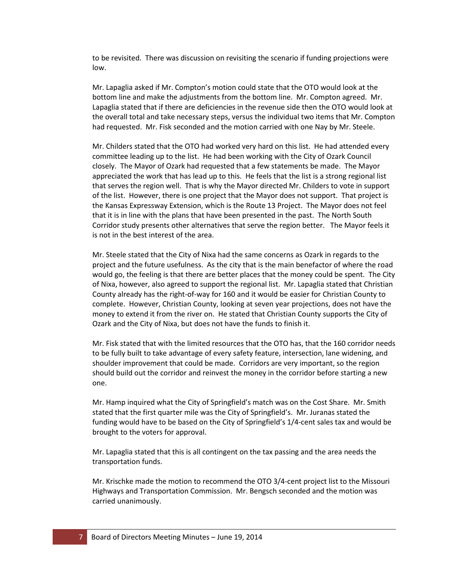to be revisited. There was discussion on revisiting the scenario if funding projections were low.

Mr. Lapaglia asked if Mr. Compton's motion could state that the OTO would look at the bottom line and make the adjustments from the bottom line. Mr. Compton agreed. Mr. Lapaglia stated that if there are deficiencies in the revenue side then the OTO would look at the overall total and take necessary steps, versus the individual two items that Mr. Compton had requested. Mr. Fisk seconded and the motion carried with one Nay by Mr. Steele.

Mr. Childers stated that the OTO had worked very hard on this list. He had attended every committee leading up to the list. He had been working with the City of Ozark Council closely. The Mayor of Ozark had requested that a few statements be made. The Mayor appreciated the work that has lead up to this. He feels that the list is a strong regional list that serves the region well. That is why the Mayor directed Mr. Childers to vote in support of the list. However, there is one project that the Mayor does not support. That project is the Kansas Expressway Extension, which is the Route 13 Project. The Mayor does not feel that it is in line with the plans that have been presented in the past. The North South Corridor study presents other alternatives that serve the region better. The Mayor feels it is not in the best interest of the area.

Mr. Steele stated that the City of Nixa had the same concerns as Ozark in regards to the project and the future usefulness. As the city that is the main benefactor of where the road would go, the feeling is that there are better places that the money could be spent. The City of Nixa, however, also agreed to support the regional list. Mr. Lapaglia stated that Christian County already has the right-of-way for 160 and it would be easier for Christian County to complete. However, Christian County, looking at seven year projections, does not have the money to extend it from the river on. He stated that Christian County supports the City of Ozark and the City of Nixa, but does not have the funds to finish it.

Mr. Fisk stated that with the limited resources that the OTO has, that the 160 corridor needs to be fully built to take advantage of every safety feature, intersection, lane widening, and shoulder improvement that could be made. Corridors are very important, so the region should build out the corridor and reinvest the money in the corridor before starting a new one.

Mr. Hamp inquired what the City of Springfield's match was on the Cost Share. Mr. Smith stated that the first quarter mile was the City of Springfield's. Mr. Juranas stated the funding would have to be based on the City of Springfield's 1/4-cent sales tax and would be brought to the voters for approval.

Mr. Lapaglia stated that this is all contingent on the tax passing and the area needs the transportation funds.

Mr. Krischke made the motion to recommend the OTO 3/4-cent project list to the Missouri Highways and Transportation Commission. Mr. Bengsch seconded and the motion was carried unanimously.